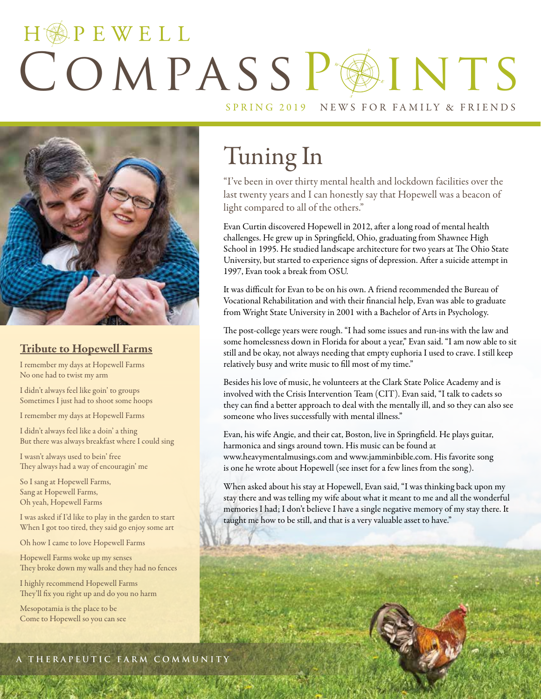# HOPEWELL COMPASSPAINTS SPRING 2019 NEWS FOR FAMILY & FRIENDS



### Tribute to Hopewell Farms

I remember my days at Hopewell Farms No one had to twist my arm

I didn't always feel like goin' to groups Sometimes I just had to shoot some hoops

I remember my days at Hopewell Farms

I didn't always feel like a doin' a thing But there was always breakfast where I could sing

I wasn't always used to bein' free They always had a way of encouragin' me

So I sang at Hopewell Farms, Sang at Hopewell Farms, Oh yeah, Hopewell Farms

I was asked if I'd like to play in the garden to start When I got too tired, they said go enjoy some art

Oh how I came to love Hopewell Farms

Hopewell Farms woke up my senses They broke down my walls and they had no fences

I highly recommend Hopewell Farms They'll fix you right up and do you no harm

Mesopotamia is the place to be Come to Hopewell so you can see

# Tuning In

"I've been in over thirty mental health and lockdown facilities over the last twenty years and I can honestly say that Hopewell was a beacon of light compared to all of the others."

Evan Curtin discovered Hopewell in 2012, after a long road of mental health challenges. He grew up in Springfield, Ohio, graduating from Shawnee High School in 1995. He studied landscape architecture for two years at The Ohio State University, but started to experience signs of depression. After a suicide attempt in 1997, Evan took a break from OSU.

It was difficult for Evan to be on his own. A friend recommended the Bureau of Vocational Rehabilitation and with their financial help, Evan was able to graduate from Wright State University in 2001 with a Bachelor of Arts in Psychology.

The post-college years were rough. "I had some issues and run-ins with the law and some homelessness down in Florida for about a year," Evan said. "I am now able to sit still and be okay, not always needing that empty euphoria I used to crave. I still keep relatively busy and write music to fill most of my time."

Besides his love of music, he volunteers at the Clark State Police Academy and is involved with the Crisis Intervention Team (CIT). Evan said, "I talk to cadets so they can find a better approach to deal with the mentally ill, and so they can also see someone who lives successfully with mental illness."

Evan, his wife Angie, and their cat, Boston, live in Springfield. He plays guitar, harmonica and sings around town. His music can be found at www.heavymentalmusings.com and www.jamminbible.com. His favorite song is one he wrote about Hopewell (see inset for a few lines from the song).

When asked about his stay at Hopewell, Evan said, "I was thinking back upon my stay there and was telling my wife about what it meant to me and all the wonderful memories I had; I don't believe I have a single negative memory of my stay there. It taught me how to be still, and that is a very valuable asset to have."

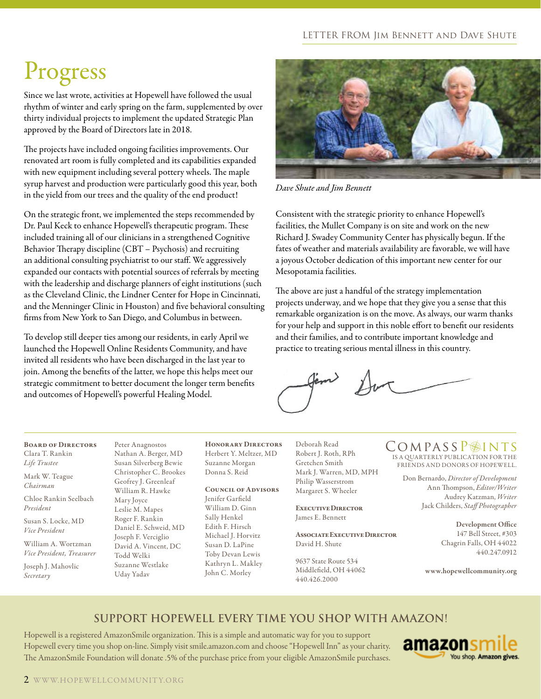#### LETTER FROM Jim Bennett and Dave Shute

# Progress

Since we last wrote, activities at Hopewell have followed the usual rhythm of winter and early spring on the farm, supplemented by over thirty individual projects to implement the updated Strategic Plan approved by the Board of Directors late in 2018.

The projects have included ongoing facilities improvements. Our renovated art room is fully completed and its capabilities expanded with new equipment including several pottery wheels. The maple syrup harvest and production were particularly good this year, both in the yield from our trees and the quality of the end product!

On the strategic front, we implemented the steps recommended by Dr. Paul Keck to enhance Hopewell's therapeutic program. These included training all of our clinicians in a strengthened Cognitive Behavior Therapy discipline (CBT – Psychosis) and recruiting an additional consulting psychiatrist to our staff. We aggressively expanded our contacts with potential sources of referrals by meeting with the leadership and discharge planners of eight institutions (such as the Cleveland Clinic, the Lindner Center for Hope in Cincinnati, and the Menninger Clinic in Houston) and five behavioral consulting firms from New York to San Diego, and Columbus in between.

To develop still deeper ties among our residents, in early April we launched the Hopewell Online Residents Community, and have invited all residents who have been discharged in the last year to join. Among the benefits of the latter, we hope this helps meet our strategic commitment to better document the longer term benefits and outcomes of Hopewell's powerful Healing Model.



*Dave Shute and Jim Bennett*

Consistent with the strategic priority to enhance Hopewell's facilities, the Mullet Company is on site and work on the new Richard J. Swadey Community Center has physically begun. If the fates of weather and materials availability are favorable, we will have a joyous October dedication of this important new center for our Mesopotamia facilities.

The above are just a handful of the strategy implementation projects underway, and we hope that they give you a sense that this remarkable organization is on the move. As always, our warm thanks for your help and support in this noble effort to benefit our residents and their families, and to contribute important knowledge and practice to treating serious mental illness in this country.

#### Board of Directors Clara T. Rankin

*Life Trustee* Mark W. Teague

*Chairman*

Chloe Rankin Seelbach *President*

Susan S. Locke, MD *Vice President*

William A. Wortzman *Vice President, Treasurer*

Joseph J. Mahovlic *Secretary*

Peter Anagnostos Nathan A. Berger, MD Susan Silverberg Bewie Christopher C. Brookes Geofrey J. Greenleaf William R. Hawke Mary Joyce Leslie M. Mapes Roger F. Rankin Daniel E. Schweid, MD Joseph F. Verciglio David A. Vincent, DC Todd Welki Suzanne Westlake Uday Yadav

Honorary Directors Herbert Y. Meltzer, MD Suzanne Morgan Donna S. Reid

#### Council of Advisors

Jenifer Garfield William D. Ginn Sally Henkel Edith F. Hirsch Michael J. Horvitz Susan D. LaPine Toby Devan Lewis Kathryn L. Makley John C. Morley

Deborah Read Robert J. Roth, RPh Gretchen Smith Mark J. Warren, MD, MPH Philip Wasserstrom Margaret S. Wheeler

Executive Director James E. Bennett

Associate Executive Director David H. Shute

9637 State Route 534 Middlefield, OH 44062 440.426.2000

### COMPASSP<sup>OINTS</sup>

IS A QUARTERLY PUBLICATION FOR THE FRIENDS AND DONORS OF HOPEWELL.

> Don Bernardo, *Director of Development* Ann Thompson, *Editor/Writer* Audrey Katzman, *Writer*  Jack Childers, *Staff Photographer*

> > Development Office 147 Bell Street, #303 Chagrin Falls, OH 44022 440.247.0912

www.hopewellcommunity.org

### **Support Hopewell every time you shop with Amazon!**

Hopewell is a registered AmazonSmile organization. This is a simple and automatic way for you to support Hopewell every time you shop on-line. Simply visit smile.amazon.com and choose "Hopewell Inn" as your charity. The AmazonSmile Foundation will donate .5% of the purchase price from your eligible AmazonSmile purchases.

amazon You shop. Amazon gives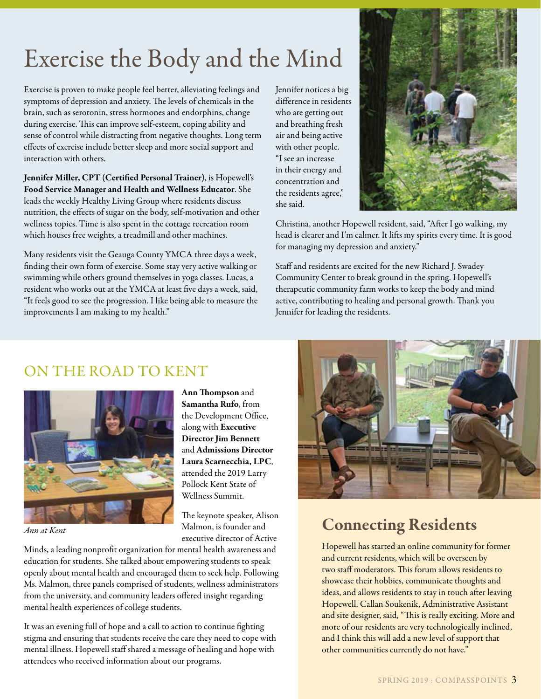# Exercise the Body and the Mind

Exercise is proven to make people feel better, alleviating feelings and symptoms of depression and anxiety. The levels of chemicals in the brain, such as serotonin, stress hormones and endorphins, change during exercise. This can improve self-esteem, coping ability and sense of control while distracting from negative thoughts. Long term effects of exercise include better sleep and more social support and interaction with others.

Jennifer Miller, CPT (Certified Personal Trainer), is Hopewell's Food Service Manager and Health and Wellness Educator. She leads the weekly Healthy Living Group where residents discuss nutrition, the effects of sugar on the body, self-motivation and other wellness topics. Time is also spent in the cottage recreation room which houses free weights, a treadmill and other machines.

Many residents visit the Geauga County YMCA three days a week, finding their own form of exercise. Some stay very active walking or swimming while others ground themselves in yoga classes. Lucas, a resident who works out at the YMCA at least five days a week, said, "It feels good to see the progression. I like being able to measure the improvements I am making to my health."

Jennifer notices a big difference in residents who are getting out and breathing fresh air and being active with other people. "I see an increase in their energy and concentration and the residents agree," she said.



Christina, another Hopewell resident, said, "After I go walking, my head is clearer and I'm calmer. It lifts my spirits every time. It is good for managing my depression and anxiety."

Staff and residents are excited for the new Richard J. Swadey Community Center to break ground in the spring. Hopewell's therapeutic community farm works to keep the body and mind active, contributing to healing and personal growth. Thank you Jennifer for leading the residents.

### ON THE ROAD TO KENT



*Ann at Kent*

Ann Thompson and Samantha Rufo, from the Development Office, along with Executive Director Jim Bennett and Admissions Director Laura Scarnecchia, LPC, attended the 2019 Larry Pollock Kent State of Wellness Summit.

The keynote speaker, Alison Malmon, is founder and executive director of Active

Minds, a leading nonprofit organization for mental health awareness and education for students. She talked about empowering students to speak openly about mental health and encouraged them to seek help. Following Ms. Malmon, three panels comprised of students, wellness administrators from the university, and community leaders offered insight regarding mental health experiences of college students.

It was an evening full of hope and a call to action to continue fighting stigma and ensuring that students receive the care they need to cope with mental illness. Hopewell staff shared a message of healing and hope with attendees who received information about our programs.



### Connecting Residents

Hopewell has started an online community for former and current residents, which will be overseen by two staff moderators. This forum allows residents to showcase their hobbies, communicate thoughts and ideas, and allows residents to stay in touch after leaving Hopewell. Callan Soukenik, Administrative Assistant and site designer, said, "This is really exciting. More and more of our residents are very technologically inclined, and I think this will add a new level of support that other communities currently do not have."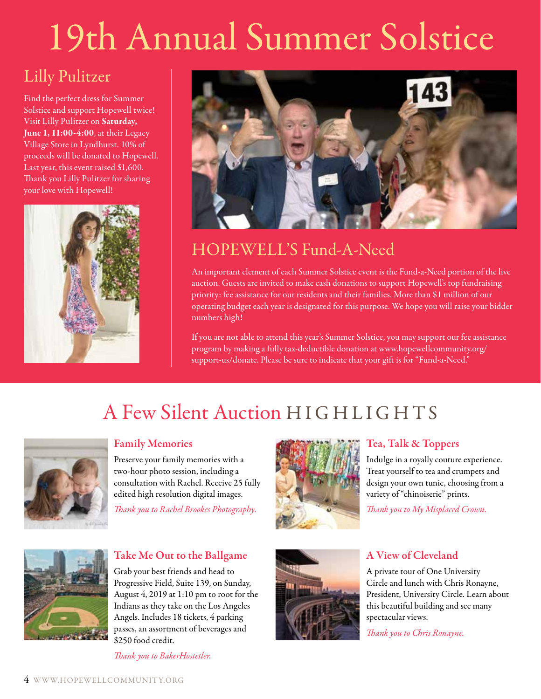# 19th Annual Summer Solstice

### Lilly Pulitzer

Find the perfect dress for Summer Solstice and support Hopewell twice! Visit Lilly Pulitzer on Saturday, June 1, 11:00-4:00, at their Legacy Village Store in Lyndhurst. 10% of proceeds will be donated to Hopewell. Last year, this event raised \$1,600. Thank you Lilly Pulitzer for sharing your love with Hopewell!





### HOPEWELL'S Fund-A-Need

An important element of each Summer Solstice event is the Fund-a-Need portion of the live auction. Guests are invited to make cash donations to support Hopewell's top fundraising priority: fee assistance for our residents and their families. More than \$1 million of our operating budget each year is designated for this purpose. We hope you will raise your bidder numbers high!

If you are not able to attend this year's Summer Solstice, you may support our fee assistance program by making a fully tax-deductible donation at www.hopewellcommunity.org/ support-us/donate. Please be sure to indicate that your gift is for "Fund-a-Need."

### A Few Silent Auction HIGHLIGHTS



### Family Memories

Preserve your family memories with a two-hour photo session, including a consultation with Rachel. Receive 25 fully edited high resolution digital images.

*Thank you to Rachel Brookes Photography.*



### Tea, Talk & Toppers

Indulge in a royally couture experience. Treat yourself to tea and crumpets and design your own tunic, choosing from a variety of "chinoiserie" prints.

*Thank you to My Misplaced Crown.*



### Take Me Out to the Ballgame

Grab your best friends and head to Progressive Field, Suite 139, on Sunday, August 4, 2019 at 1:10 pm to root for the Indians as they take on the Los Angeles Angels. Includes 18 tickets, 4 parking passes, an assortment of beverages and \$250 food credit.

*Thank you to BakerHostetler.*



### A View of Cleveland

A private tour of One University Circle and lunch with Chris Ronayne, President, University Circle. Learn about this beautiful building and see many spectacular views.

*Thank you to Chris Ronayne.*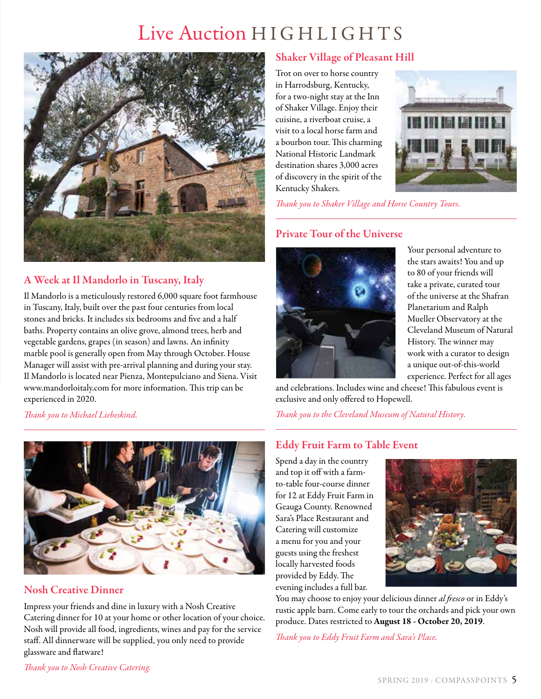### Live Auction HIGHLIGHTS



### A Week at Il Mandorlo in Tuscany, Italy

Il Mandorlo is a meticulously restored 6,000 square foot farmhouse in Tuscany, Italy, built over the past four centuries from local stones and bricks. It includes six bedrooms and five and a half baths. Property contains an olive grove, almond trees, herb and vegetable gardens, grapes (in season) and lawns. An infinity marble pool is generally open from May through October. House Manager will assist with pre-arrival planning and during your stay. Il Mandorlo is located near Pienza, Montepulciano and Siena. Visit www.mandorloitaly.com for more information. This trip can be experienced in 2020.

*Thank you to Michael Liebeskind.*



### Nosh Creative Dinner

Impress your friends and dine in luxury with a Nosh Creative Catering dinner for 10 at your home or other location of your choice. Nosh will provide all food, ingredients, wines and pay for the service staff. All dinnerware will be supplied, you only need to provide glassware and flatware!

### Shaker Village of Pleasant Hill

Trot on over to horse country in Harrodsburg, Kentucky, for a two-night stay at the Inn of Shaker Village. Enjoy their cuisine, a riverboat cruise, a visit to a local horse farm and a bourbon tour. This charming National Historic Landmark destination shares 3,000 acres of discovery in the spirit of the Kentucky Shakers.



*Thank you to Shaker Village and Horse Country Tours.*

### Private Tour of the Universe



Your personal adventure to the stars awaits! You and up to 80 of your friends will take a private, curated tour of the universe at the Shafran Planetarium and Ralph Mueller Observatory at the Cleveland Museum of Natural History. The winner may work with a curator to design a unique out-of-this-world experience. Perfect for all ages

and celebrations. Includes wine and cheese! This fabulous event is exclusive and only offered to Hopewell.

*Thank you to the Cleveland Museum of Natural History.*

### Eddy Fruit Farm to Table Event

Spend a day in the country and top it off with a farmto-table four-course dinner for 12 at Eddy Fruit Farm in Geauga County. Renowned Sara's Place Restaurant and Catering will customize a menu for you and your guests using the freshest locally harvested foods provided by Eddy. The evening includes a full bar.



You may choose to enjoy your delicious dinner *al fresco* or in Eddy's rustic apple barn. Come early to tour the orchards and pick your own produce. Dates restricted to August 18 - October 20, 2019.

*Thank you to Eddy Fruit Farm and Sara's Place.* 

*Thank you to Nosh Creative Catering.*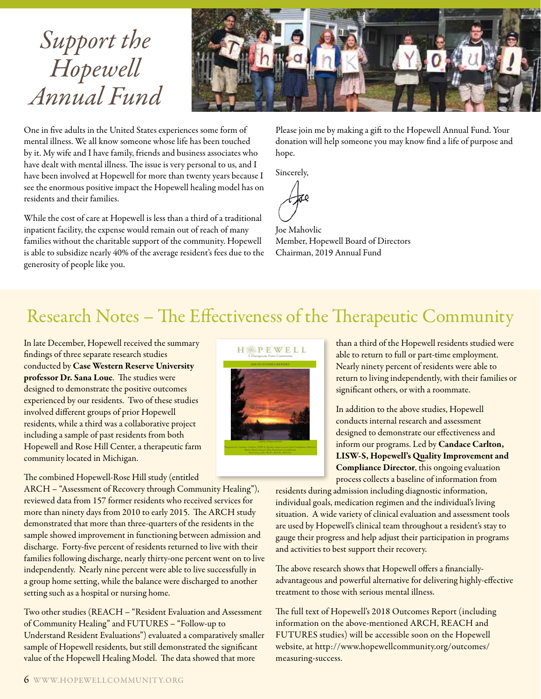## *Support the Hopewell Annual Fund*



One in five adults in the United States experiences some form of mental illness. We all know someone whose life has been touched by it. My wife and I have family, friends and business associates who have dealt with mental illness. The issue is very personal to us, and I have been involved at Hopewell for more than twenty years because I see the enormous positive impact the Hopewell healing model has on residents and their families.

While the cost of care at Hopewell is less than a third of a traditional inpatient facility, the expense would remain out of reach of many families without the charitable support of the community. Hopewell is able to subsidize nearly 40% of the average resident's fees due to the generosity of people like you.

Please join me by making a gift to the Hopewell Annual Fund. Your donation will help someone you may know find a life of purpose and hope.

Sincerely,

Joe Mahovlic Member, Hopewell Board of Directors Chairman, 2019 Annual Fund

### Research Notes – The Effectiveness of the Therapeutic Community

In late December, Hopewell received the summary findings of three separate research studies conducted by Case Western Reserve University professor Dr. Sana Loue. The studies were designed to demonstrate the positive outcomes experienced by our residents. Two of these studies involved different groups of prior Hopewell residents, while a third was a collaborative project including a sample of past residents from both Hopewell and Rose Hill Center, a therapeutic farm community located in Michigan.

#### The combined Hopewell-Rose Hill study (entitled

ARCH – "Assessment of Recovery through Community Healing"), reviewed data from 157 former residents who received services for more than ninety days from 2010 to early 2015. The ARCH study demonstrated that more than three-quarters of the residents in the sample showed improvement in functioning between admission and discharge. Forty-five percent of residents returned to live with their families following discharge, nearly thirty-one percent went on to live independently. Nearly nine percent were able to live successfully in a group home setting, while the balance were discharged to another setting such as a hospital or nursing home.

Two other studies (REACH – "Resident Evaluation and Assessment of Community Healing" and FUTURES – "Follow-up to Understand Resident Evaluations") evaluated a comparatively smaller sample of Hopewell residents, but still demonstrated the significant value of the Hopewell Healing Model. The data showed that more



than a third of the Hopewell residents studied were able to return to full or part-time employment. Nearly ninety percent of residents were able to return to living independently, with their families or significant others, or with a roommate.

In addition to the above studies, Hopewell conducts internal research and assessment designed to demonstrate our effectiveness and inform our programs. Led by Candace Carlton, LISW-S, Hopewell's Quality Improvement and Compliance Director, this ongoing evaluation process collects a baseline of information from

residents during admission including diagnostic information, individual goals, medication regimen and the individual's living situation. A wide variety of clinical evaluation and assessment tools are used by Hopewell's clinical team throughout a resident's stay to gauge their progress and help adjust their participation in programs and activities to best support their recovery.

The above research shows that Hopewell offers a financiallyadvantageous and powerful alternative for delivering highly-effective treatment to those with serious mental illness.

The full text of Hopewell's 2018 Outcomes Report (including information on the above-mentioned ARCH, REACH and FUTURES studies) will be accessible soon on the Hopewell website, at http://www.hopewellcommunity.org/outcomes/ measuring-success.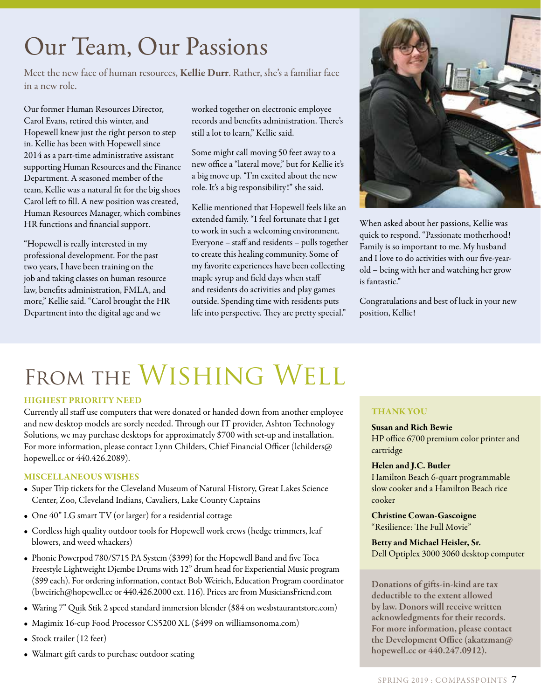# Our Team, Our Passions

Meet the new face of human resources, Kellie Durr. Rather, she's a familiar face in a new role.

Our former Human Resources Director, Carol Evans, retired this winter, and Hopewell knew just the right person to step in. Kellie has been with Hopewell since 2014 as a part-time administrative assistant supporting Human Resources and the Finance Department. A seasoned member of the team, Kellie was a natural fit for the big shoes Carol left to fill. A new position was created, Human Resources Manager, which combines HR functions and financial support.

"Hopewell is really interested in my professional development. For the past two years, I have been training on the job and taking classes on human resource law, benefits administration, FMLA, and more," Kellie said. "Carol brought the HR Department into the digital age and we

worked together on electronic employee records and benefits administration. There's still a lot to learn," Kellie said.

Some might call moving 50 feet away to a new office a "lateral move," but for Kellie it's a big move up. "I'm excited about the new role. It's a big responsibility!" she said.

Kellie mentioned that Hopewell feels like an extended family. "I feel fortunate that I get to work in such a welcoming environment. Everyone – staff and residents – pulls together to create this healing community. Some of my favorite experiences have been collecting maple syrup and field days when staff and residents do activities and play games outside. Spending time with residents puts life into perspective. They are pretty special."



When asked about her passions, Kellie was quick to respond. "Passionate motherhood! Family is so important to me. My husband and I love to do activities with our five-yearold – being with her and watching her grow is fantastic."

Congratulations and best of luck in your new position, Kellie!

# FROM THE WISHING WELL

#### HIGHEST PRIORITY NEED

Currently all staff use computers that were donated or handed down from another employee and new desktop models are sorely needed. Through our IT provider, Ashton Technology Solutions, we may purchase desktops for approximately \$700 with set-up and installation. For more information, please contact Lynn Childers, Chief Financial Officer (lchilders@ hopewell.cc or 440.426.2089).

#### MISCELLANEOUS WISHES

- Super Trip tickets for the Cleveland Museum of Natural History, Great Lakes Science Center, Zoo, Cleveland Indians, Cavaliers, Lake County Captains
- One 40" LG smart TV (or larger) for a residential cottage
- Cordless high quality outdoor tools for Hopewell work crews (hedge trimmers, leaf blowers, and weed whackers)
- Phonic Powerpod 780/S715 PA System (\$399) for the Hopewell Band and five Toca Freestyle Lightweight Djembe Drums with 12" drum head for Experiential Music program (\$99 each). For ordering information, contact Bob Weirich, Education Program coordinator (bweirich@hopewell.cc or 440.426.2000 ext. 116). Prices are from MusiciansFriend.com
- Waring 7" Quik Stik 2 speed standard immersion blender (\$84 on wesbstaurantstore.com)
- Magimix 16-cup Food Processor CS5200 XL (\$499 on williamsonoma.com)
- Stock trailer (12 feet)
- Walmart gift cards to purchase outdoor seating

#### THANK YOU

Susan and Rich Bewie HP office 6700 premium color printer and cartridge

#### Helen and J.C. Butler Hamilton Beach 6-quart programmable

slow cooker and a Hamilton Beach rice cooker

Christine Cowan-Gascoigne "Resilience: The Full Movie"

#### Betty and Michael Heisler, Sr. Dell Optiplex 3000 3060 desktop computer

Donations of gifts-in-kind are tax deductible to the extent allowed by law. Donors will receive written acknowledgments for their records. For more information, please contact the Development Office (akatzman@ hopewell.cc or 440.247.0912).